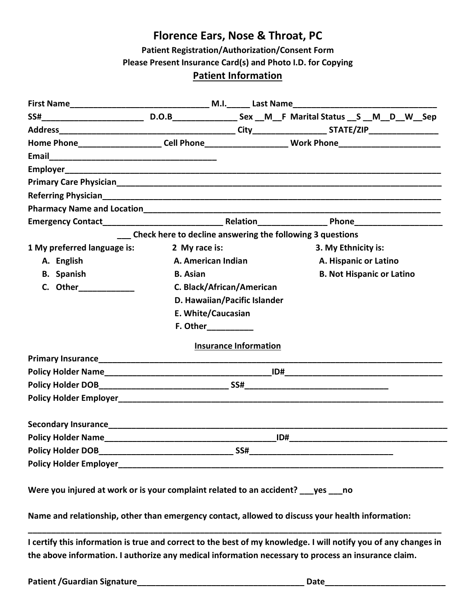### **Florence Ears, Nose & Throat, PC**

**Patient Registration/Authorization/Consent Form**

**Please Present Insurance Card(s) and Photo I.D. for Copying**

#### **Patient Information**

|                                                                                                                                                                                                                                      |                                                                                                                      |                              |  |  | Home Phone_______________________Cell Phone___________________________Work Phone______________________________  |
|--------------------------------------------------------------------------------------------------------------------------------------------------------------------------------------------------------------------------------------|----------------------------------------------------------------------------------------------------------------------|------------------------------|--|--|-----------------------------------------------------------------------------------------------------------------|
|                                                                                                                                                                                                                                      |                                                                                                                      |                              |  |  |                                                                                                                 |
|                                                                                                                                                                                                                                      |                                                                                                                      |                              |  |  |                                                                                                                 |
|                                                                                                                                                                                                                                      |                                                                                                                      |                              |  |  |                                                                                                                 |
|                                                                                                                                                                                                                                      |                                                                                                                      |                              |  |  |                                                                                                                 |
|                                                                                                                                                                                                                                      |                                                                                                                      |                              |  |  |                                                                                                                 |
|                                                                                                                                                                                                                                      |                                                                                                                      |                              |  |  |                                                                                                                 |
|                                                                                                                                                                                                                                      |                                                                                                                      |                              |  |  | Check here to decline answering the following 3 questions                                                       |
| 1 My preferred language is:                                                                                                                                                                                                          | 2 My race is:                                                                                                        |                              |  |  | 3. My Ethnicity is:                                                                                             |
| A. English                                                                                                                                                                                                                           |                                                                                                                      | A. American Indian           |  |  | A. Hispanic or Latino                                                                                           |
| <b>B.</b> Spanish                                                                                                                                                                                                                    | <b>B.</b> Asian                                                                                                      |                              |  |  | <b>B. Not Hispanic or Latino</b>                                                                                |
| C. Other_____________                                                                                                                                                                                                                | C. Black/African/American                                                                                            |                              |  |  |                                                                                                                 |
|                                                                                                                                                                                                                                      |                                                                                                                      | D. Hawaiian/Pacific Islander |  |  |                                                                                                                 |
|                                                                                                                                                                                                                                      |                                                                                                                      | E. White/Caucasian           |  |  |                                                                                                                 |
|                                                                                                                                                                                                                                      |                                                                                                                      | <b>F. Other</b>              |  |  |                                                                                                                 |
|                                                                                                                                                                                                                                      |                                                                                                                      | <b>Insurance Information</b> |  |  |                                                                                                                 |
|                                                                                                                                                                                                                                      |                                                                                                                      |                              |  |  |                                                                                                                 |
|                                                                                                                                                                                                                                      |                                                                                                                      |                              |  |  |                                                                                                                 |
|                                                                                                                                                                                                                                      |                                                                                                                      |                              |  |  |                                                                                                                 |
|                                                                                                                                                                                                                                      |                                                                                                                      |                              |  |  |                                                                                                                 |
|                                                                                                                                                                                                                                      |                                                                                                                      |                              |  |  |                                                                                                                 |
|                                                                                                                                                                                                                                      |                                                                                                                      |                              |  |  |                                                                                                                 |
| <b>Policy Holder DOB</b>                                                                                                                                                                                                             | <u>. De la componentación de la componentación de la componentación de la componentación de la componentación de</u> | $S$ SS#                      |  |  |                                                                                                                 |
| <b>Policy Holder Employer and Service Service Service Service Service Service Service Service Service Service Service Service Service Service Service Service Service Service Service Service Service Service Service Service Se</b> |                                                                                                                      |                              |  |  |                                                                                                                 |
| Were you injured at work or is your complaint related to an accident? ___ yes ___ no                                                                                                                                                 |                                                                                                                      |                              |  |  |                                                                                                                 |
|                                                                                                                                                                                                                                      |                                                                                                                      |                              |  |  | Name and relationship, other than emergency contact, allowed to discuss your health information:                |
|                                                                                                                                                                                                                                      |                                                                                                                      |                              |  |  | I certify this information is true and correct to the best of my knowledge. I will notify you of any changes in |

**the above information. I authorize any medical information necessary to process an insurance claim.**

**Patient /Guardian Signature\_\_\_\_\_\_\_\_\_\_\_\_\_\_\_\_\_\_\_\_\_\_\_\_\_\_\_\_\_\_\_\_\_\_\_\_ Date\_\_\_\_\_\_\_\_\_\_\_\_\_\_\_\_\_\_\_\_\_\_\_\_\_\_**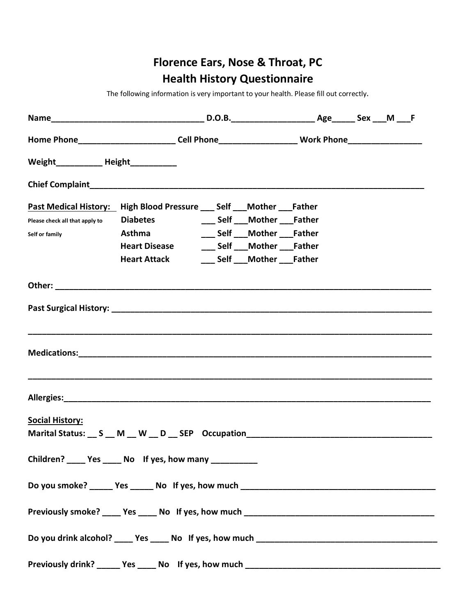# **Florence Ears, Nose & Throat, PC Health History Questionnaire**

The following information is very important to your health. Please fill out correctly.

| Home Phone__________________________Cell Phone__________________________Work Phone__________________ |                                                     |                                |  |  |
|------------------------------------------------------------------------------------------------------|-----------------------------------------------------|--------------------------------|--|--|
| Weight_______________ Height_____________                                                            |                                                     |                                |  |  |
|                                                                                                      |                                                     |                                |  |  |
| Past Medical History: High Blood Pressure ___ Self ___ Mother ___ Father                             |                                                     |                                |  |  |
| Please check all that apply to <b>Diabetes</b>                                                       |                                                     | ___ Self ___ Mother ___ Father |  |  |
| Self or family                                                                                       | <b>Example 18 Asthma</b>                            | ___ Self ___ Mother ___ Father |  |  |
|                                                                                                      | Heart Disease ________ Self ____ Mother ____ Father |                                |  |  |
|                                                                                                      | <b>Heart Attack</b>                                 | ___ Self ___ Mother ___ Father |  |  |
|                                                                                                      |                                                     |                                |  |  |
|                                                                                                      |                                                     |                                |  |  |
|                                                                                                      |                                                     |                                |  |  |
|                                                                                                      |                                                     |                                |  |  |
|                                                                                                      |                                                     |                                |  |  |
| <b>Social History:</b>                                                                               |                                                     |                                |  |  |
|                                                                                                      |                                                     |                                |  |  |
| Children? _____ Yes _____ No If yes, how many __________                                             |                                                     |                                |  |  |
|                                                                                                      |                                                     |                                |  |  |
|                                                                                                      |                                                     |                                |  |  |
|                                                                                                      |                                                     |                                |  |  |
|                                                                                                      |                                                     |                                |  |  |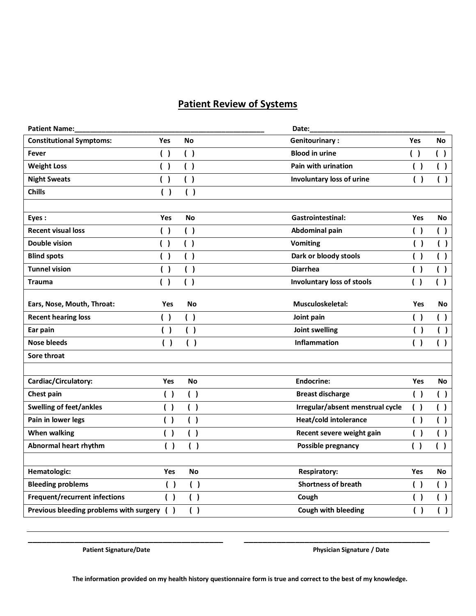### **Patient Review of Systems**

| <b>Patient Name:</b>                    |           |           | Date:                             |            |           |
|-----------------------------------------|-----------|-----------|-----------------------------------|------------|-----------|
| <b>Constitutional Symptoms:</b>         | Yes       | <b>No</b> | <b>Genitourinary:</b>             | <b>Yes</b> | <b>No</b> |
| Fever                                   | ( )       | ( )       | <b>Blood in urine</b>             | ( )        | ( )       |
| <b>Weight Loss</b>                      | ( )       | ( )       | Pain with urination               | ( )        | ( )       |
| <b>Night Sweats</b>                     | ( )       | ( )       | Involuntary loss of urine         | ( )        | ( )       |
| <b>Chills</b>                           | ( )       | ( )       |                                   |            |           |
|                                         |           |           |                                   |            |           |
| Eyes:                                   | Yes       | <b>No</b> | <b>Gastrointestinal:</b>          | Yes        | No        |
| <b>Recent visual loss</b>               | ( )       | ( )       | Abdominal pain                    | ( )        | ( )       |
| Double vision                           | ( )       | ( )       | <b>Vomiting</b>                   | ( )        | ( )       |
| <b>Blind spots</b>                      | ( )       | ( )       | Dark or bloody stools             | ( )        | ( )       |
| <b>Tunnel vision</b>                    | ( )       | ( )       | <b>Diarrhea</b>                   | ( )        | ( )       |
| Trauma                                  | $\lambda$ | ( )       | <b>Involuntary loss of stools</b> | ( )        | ( )       |
|                                         |           |           |                                   |            |           |
| Ears, Nose, Mouth, Throat:              | Yes       | <b>No</b> | Musculoskeletal:                  | Yes        | No        |
| <b>Recent hearing loss</b>              | ( )       | ( )       | Joint pain                        | ( )        | ( )       |
| Ear pain                                | ( )       | ( )       | Joint swelling                    | ( )        | ( )       |
| <b>Nose bleeds</b>                      | ( )       | ( )       | Inflammation                      | ( )        | ( )       |
| Sore throat                             |           |           |                                   |            |           |
|                                         |           |           |                                   |            |           |
| Cardiac/Circulatory:                    | Yes       | <b>No</b> | <b>Endocrine:</b>                 | Yes        | No        |
| Chest pain                              | ( )       | ( )       | <b>Breast discharge</b>           | ( )        | ( )       |
| <b>Swelling of feet/ankles</b>          | ( )       | ( )       | Irregular/absent menstrual cycle  | ( )        | ( )       |
| Pain in lower legs                      | ( )       | ( )       | Heat/cold intolerance             | ( )        | ( )       |
| <b>When walking</b>                     | ( )       | ( )       | Recent severe weight gain         | ( )        | ( )       |
| Abnormal heart rhythm                   | ( )       | ( )       | Possible pregnancy                | ( )        | ( )       |
|                                         |           |           |                                   |            |           |
| Hematologic:                            | Yes       | No        | <b>Respiratory:</b>               | Yes        | No        |
| <b>Bleeding problems</b>                | ( )       | ( )       | <b>Shortness of breath</b>        | ( )        | ( )       |
| Frequent/recurrent infections           | ( )       | ( )       | Cough                             | ( )        | ( )       |
| Previous bleeding problems with surgery | ( )       | ( )       | Cough with bleeding               | ( )        | ( )       |

Patient Signature/Date **Physician Signature / Date** Physician Signature / Date

 **The information provided on my health history questionnaire form is true and correct to the best of my knowledge.**

**\_\_\_\_\_\_\_\_\_\_\_\_\_\_\_\_\_\_\_\_\_\_\_\_\_\_\_\_\_\_\_\_\_\_\_\_\_\_\_\_\_\_ \_\_\_\_\_\_\_\_\_\_\_\_\_\_\_\_\_\_\_\_\_\_\_\_\_\_\_\_\_\_\_\_\_\_\_\_\_\_\_\_**